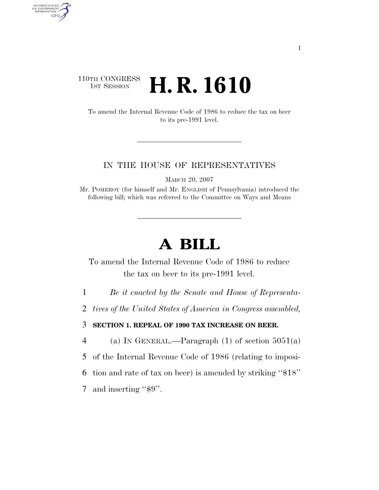## 110TH CONGRESS **1st Session H. R. 1610**

AUTHENTICATED<br>U.S. GOVERNMENT<br>INFORMATION GPO

> To amend the Internal Revenue Code of 1986 to reduce the tax on beer to its pre-1991 level.

## IN THE HOUSE OF REPRESENTATIVES

MARCH 20, 2007

Mr. POMEROY (for himself and Mr. ENGLISH of Pennsylvania) introduced the following bill; which was referred to the Committee on Ways and Means

## **A BILL**

To amend the Internal Revenue Code of 1986 to reduce the tax on beer to its pre-1991 level.

1 *Be it enacted by the Senate and House of Representa-*

2 *tives of the United States of America in Congress assembled,* 

3 **SECTION 1. REPEAL OF 1990 TAX INCREASE ON BEER.** 

4 (a) IN GENERAL.—Paragraph (1) of section  $5051(a)$ 

5 of the Internal Revenue Code of 1986 (relating to imposi-

6 tion and rate of tax on beer) is amended by striking ''\$18''

7 and inserting "\$9".